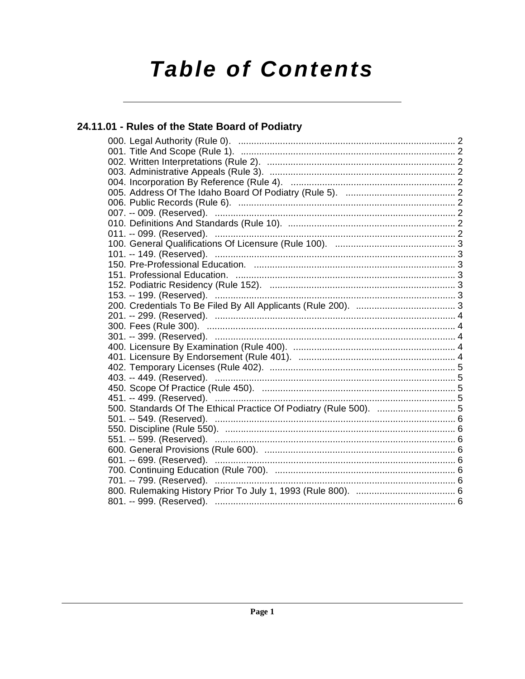# **Table of Contents**

# 24.11.01 - Rules of the State Board of Podiatry

| 451. -- 499. (Reserved). ……………………………………………………………………………………5        |  |
|-------------------------------------------------------------------|--|
| 500. Standards Of The Ethical Practice Of Podiatry (Rule 500).  5 |  |
|                                                                   |  |
|                                                                   |  |
|                                                                   |  |
|                                                                   |  |
|                                                                   |  |
|                                                                   |  |
|                                                                   |  |
|                                                                   |  |
|                                                                   |  |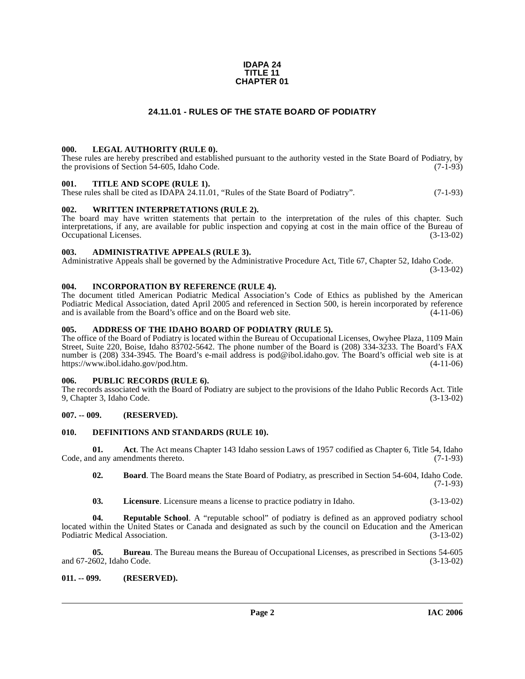#### **IDAPA 24 TITLE 11 CHAPTER 01**

#### **24.11.01 - RULES OF THE STATE BOARD OF PODIATRY**

#### <span id="page-1-1"></span><span id="page-1-0"></span>**000. LEGAL AUTHORITY (RULE 0).**

These rules are hereby prescribed and established pursuant to the authority vested in the State Board of Podiatry, by the provisions of Section 54-605, Idaho Code. (7-1-93)

#### <span id="page-1-2"></span>**001. TITLE AND SCOPE (RULE 1).**

These rules shall be cited as IDAPA 24.11.01, "Rules of the State Board of Podiatry". (7-1-93)

#### <span id="page-1-3"></span>**002. WRITTEN INTERPRETATIONS (RULE 2).**

The board may have written statements that pertain to the interpretation of the rules of this chapter. Such interpretations, if any, are available for public inspection and copying at cost in the main office of the Bureau of Occupational Licenses. (3-13-02) Occupational Licenses.

#### <span id="page-1-4"></span>**003. ADMINISTRATIVE APPEALS (RULE 3).**

Administrative Appeals shall be governed by the Administrative Procedure Act, Title 67, Chapter 52, Idaho Code.

(3-13-02)

#### <span id="page-1-5"></span>**004. INCORPORATION BY REFERENCE (RULE 4).**

The document titled American Podiatric Medical Association's Code of Ethics as published by the American Podiatric Medical Association, dated April 2005 and referenced in Section 500, is herein incorporated by reference and is available from the Board's office and on the Board web site. (4-11-06) and is available from the Board's office and on the Board web site.

#### <span id="page-1-6"></span>**005. ADDRESS OF THE IDAHO BOARD OF PODIATRY (RULE 5).**

[The office of the Board of Podiatry is located within the Bureau of Occupational Licenses, Owyhee Plaza, 1109 Main](mailto:pod@ibol.idaho.gov)  Street, Suite 220, Boise, Idaho 83702-5642. The phone number of the Board is (208) 334-3233. The Board's FAX number is (208) 334-3945. The Board's e-mail address is pod@ibol.idaho.gov. The Board's official web site is at [https://www.ibol.idaho.gov/pod.htm. \(4-11-06\)](https://www.ibol.idaho.gov/pod.htm)

#### <span id="page-1-7"></span>**006. PUBLIC RECORDS (RULE 6).**

The records associated with the Board of Podiatry are subject to the provisions of the Idaho Public Records Act. Title 9, Chapter 3, Idaho Code. (3-13-02) 9, Chapter 3, Idaho Code.

#### <span id="page-1-8"></span>**007. -- 009. (RESERVED).**

#### <span id="page-1-12"></span><span id="page-1-9"></span>**010. DEFINITIONS AND STANDARDS (RULE 10).**

**01. Act**. The Act means Chapter 143 Idaho session Laws of 1957 codified as Chapter 6, Title 54, Idaho Code, and any amendments thereto. (7-1-93)

<span id="page-1-11"></span>**02. Board**. The Board means the State Board of Podiatry, as prescribed in Section 54-604, Idaho Code.  $(7-1-93)$ 

<span id="page-1-14"></span><span id="page-1-13"></span>**03. Licensure**. Licensure means a license to practice podiatry in Idaho. (3-13-02)

**04.** Reputable School. A "reputable school" of podiatry is defined as an approved podiatry school located within the United States or Canada and designated as such by the council on Education and the American Podiatric Medical Association. (3-13-02)

**05. Bureau**. The Bureau means the Bureau of Occupational Licenses, as prescribed in Sections 54-605 (602, Idaho Code. (3-13-02) and 67-2602, Idaho Code.

#### <span id="page-1-10"></span>**011. -- 099. (RESERVED).**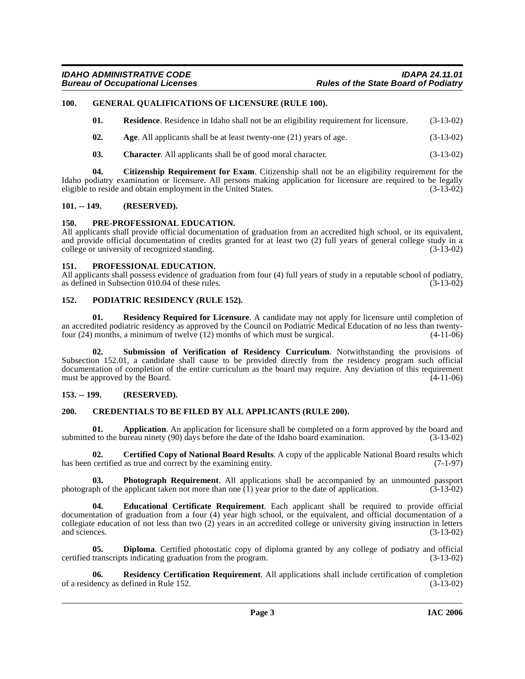#### <span id="page-2-0"></span>**100. GENERAL QUALIFICATIONS OF LICENSURE (RULE 100).**

<span id="page-2-20"></span><span id="page-2-15"></span>

| <b>Residence.</b> Residence in Idaho shall not be an eligibility requirement for licensure.<br>01. | $(3-13-02)$ |
|----------------------------------------------------------------------------------------------------|-------------|
|----------------------------------------------------------------------------------------------------|-------------|

- <span id="page-2-7"></span>**02.** Age. All applicants shall be at least twenty-one (21) years of age.  $(3-13-02)$
- <span id="page-2-11"></span><span id="page-2-10"></span>**03. Character**. All applicants shall be of good moral character. (3-13-02)

**04. Citizenship Requirement for Exam**. Citizenship shall not be an eligibility requirement for the Idaho podiatry examination or licensure. All persons making application for licensure are required to be legally eligible to reside and obtain employment in the United States. (3-13-02) eligible to reside and obtain employment in the United States.

#### <span id="page-2-1"></span>**101. -- 149. (RESERVED).**

#### <span id="page-2-18"></span><span id="page-2-2"></span>**150. PRE-PROFESSIONAL EDUCATION.**

All applicants shall provide official documentation of graduation from an accredited high school, or its equivalent, and provide official documentation of credits granted for at least two (2) full years of general college study in a college or university of recognized standing. (3-13-02) college or university of recognized standing.

#### <span id="page-2-19"></span><span id="page-2-3"></span>**151. PROFESSIONAL EDUCATION.**

All applicants shall possess evidence of graduation from four (4) full years of study in a reputable school of podiatry, as defined in Subsection 010.04 of these rules. (3-13-02) as defined in Subsection 010.04 of these rules.

#### <span id="page-2-17"></span><span id="page-2-4"></span>**152. PODIATRIC RESIDENCY (RULE 152).**

<span id="page-2-22"></span>**01. Residency Required for Licensure**. A candidate may not apply for licensure until completion of an accredited podiatric residency as approved by the Council on Podiatric Medical Education of no less than twenty-<br>four (24) months, a minimum of twelve (12) months of which must be surgical. (4-11-06) four  $(24)$  months, a minimum of twelve  $(12)$  months of which must be surgical.

<span id="page-2-23"></span>**02. Submission of Verification of Residency Curriculum**. Notwithstanding the provisions of Subsection 152.01, a candidate shall cause to be provided directly from the residency program such official documentation of completion of the entire curriculum as the board may require. Any deviation of this requirement must be approved by the Board. (4-11-06) must be approved by the Board.

#### <span id="page-2-5"></span>**153. -- 199. (RESERVED).**

#### <span id="page-2-12"></span><span id="page-2-6"></span>**200. CREDENTIALS TO BE FILED BY ALL APPLICANTS (RULE 200).**

<span id="page-2-8"></span>**01. Application**. An application for licensure shall be completed on a form approved by the board and d to the bureau ninety (90) days before the date of the Idaho board examination. (3-13-02) submitted to the bureau ninety  $(90)$  days before the date of the Idaho board examination.

<span id="page-2-9"></span>**02. Certified Copy of National Board Results**. A copy of the applicable National Board results which has been certified as true and correct by the examining entity. (7-1-97)

<span id="page-2-16"></span>**03. Photograph Requirement**. All applications shall be accompanied by an unmounted passport of the application taken not more than one (1) year prior to the date of application. (3-13-02) photograph of the applicant taken not more than one  $\overline{(1)}$  year prior to the date of application.

<span id="page-2-14"></span>**04. Educational Certificate Requirement**. Each applicant shall be required to provide official documentation of graduation from a four (4) year high school, or the equivalent, and official documentation of a collegiate education of not less than two  $(2)$  years in an accredited college or university giving instruction in letters and sciences.  $(3-13-02)$ and sciences.  $(3-13-02)$ 

<span id="page-2-13"></span>**05. Diploma**. Certified photostatic copy of diploma granted by any college of podiatry and official transcripts indicating graduation from the program. (3-13-02) certified transcripts indicating graduation from the program.

<span id="page-2-21"></span>**Residency Certification Requirement**. All applications shall include certification of completion defined in Rule 152. (3-13-02) of a residency as defined in Rule 152.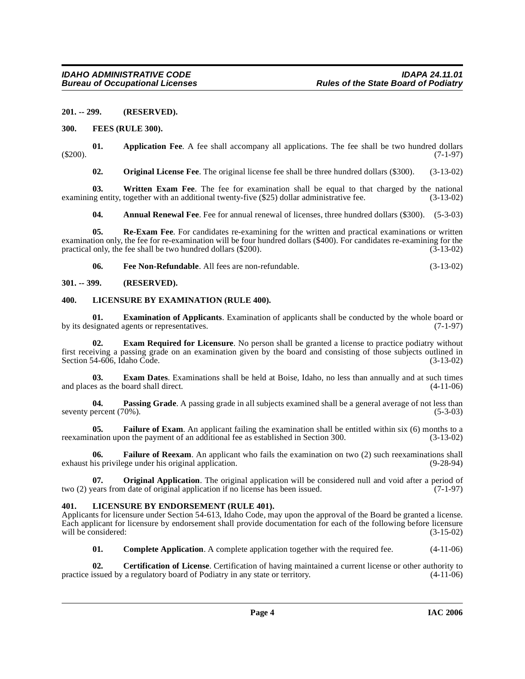#### <span id="page-3-0"></span>**201. -- 299. (RESERVED).**

#### <span id="page-3-15"></span><span id="page-3-1"></span>**300. FEES (RULE 300).**

**01. Application Fee**. A fee shall accompany all applications. The fee shall be two hundred dollars (7-1-97) (\$200). (7-1-97)

<span id="page-3-22"></span><span id="page-3-19"></span><span id="page-3-6"></span>**02. Original License Fee**. The original license fee shall be three hundred dollars (\$300). (3-13-02)

**03.** Written Exam Fee. The fee for examination shall be equal to that charged by the national ng entity, together with an additional twenty-five (\$25) dollar administrative fee. (3-13-02) examining entity, together with an additional twenty-five (\$25) dollar administrative fee.

<span id="page-3-21"></span><span id="page-3-5"></span>**04. Annual Renewal Fee**. Fee for annual renewal of licenses, three hundred dollars (\$300). (5-3-03)

**05.** Re-Exam Fee. For candidates re-examining for the written and practical examinations or written examination only, the fee for re-examination will be four hundred dollars (\$400). For candidates re-examining for the practical only, the fee shall be two hundred dollars (\$200).  $(3-13-02)$ practical only, the fee shall be two hundred dollars (\$200).

<span id="page-3-17"></span><span id="page-3-14"></span><span id="page-3-11"></span>**06. Fee Non-Refundable**. All fees are non-refundable. (3-13-02)

#### <span id="page-3-2"></span>**301. -- 399. (RESERVED).**

#### <span id="page-3-3"></span>**400. LICENSURE BY EXAMINATION (RULE 400).**

**01. Examination of Applicants**. Examination of applicants shall be conducted by the whole board or signated agents or representatives. (7-1-97) by its designated agents or representatives.

<span id="page-3-10"></span>**Exam Required for Licensure**. No person shall be granted a license to practice podiatry without first receiving a passing grade on an examination given by the board and consisting of those subjects outlined in Section 54-606, Idaho Code.

<span id="page-3-9"></span>**03. Exam Dates**. Examinations shall be held at Boise, Idaho, no less than annually and at such times and places as the board shall direct. (4-11-06)

<span id="page-3-20"></span>**04. Passing Grade**. A passing grade in all subjects examined shall be a general average of not less than percent (70%). (5-3-03) seventy percent (70%).

<span id="page-3-12"></span>**05. Failure of Exam**. An applicant failing the examination shall be entitled within six (6) months to a nation upon the payment of an additional fee as established in Section 300. (3-13-02) reexamination upon the payment of an additional fee as established in Section 300.

<span id="page-3-13"></span>**06. Failure of Reexam**. An applicant who fails the examination on two (2) such reexaminations shall exhaust his privilege under his original application. (9-28-94)

<span id="page-3-18"></span>**07. Original Application**. The original application will be considered null and void after a period of vears from date of original application if no license has been issued. (7-1-97) two (2) years from date of original application if no license has been issued.

#### <span id="page-3-16"></span><span id="page-3-4"></span>**401. LICENSURE BY ENDORSEMENT (RULE 401).**

Applicants for licensure under Section 54-613, Idaho Code, may upon the approval of the Board be granted a license. Each applicant for licensure by endorsement shall provide documentation for each of the following before licensure will be considered: (3-15-02) will be considered:

<span id="page-3-8"></span><span id="page-3-7"></span>**01. Complete Application**. A complete application together with the required fee.  $(4-11-06)$ 

**02. Certification of License**. Certification of having maintained a current license or other authority to issued by a regulatory board of Podiatry in any state or territory. (4-11-06) practice issued by a regulatory board of Podiatry in any state or territory.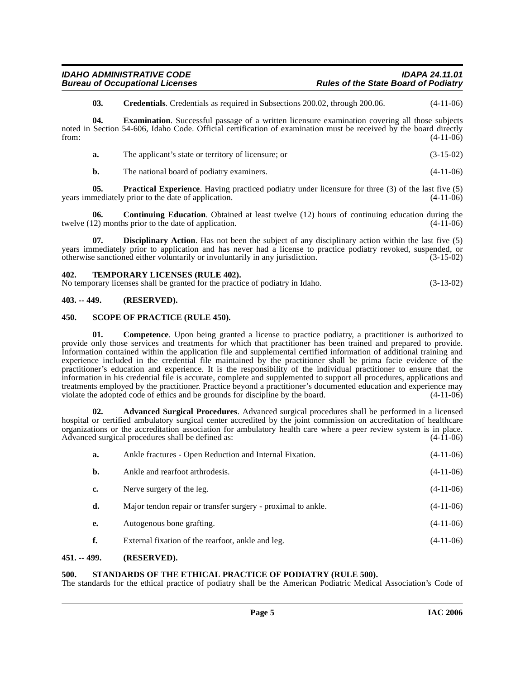<span id="page-4-10"></span><span id="page-4-8"></span>**03. Credentials**. Credentials as required in Subsections 200.02, through 200.06. (4-11-06)

**04.** Examination. Successful passage of a written licensure examination covering all those subjects noted in Section 54-606, Idaho Code. Official certification of examination must be received by the board directly from: (4-11-06)

| a. | The applicant's state or territory of licensure; or | $(3-15-02)$ |
|----|-----------------------------------------------------|-------------|
|----|-----------------------------------------------------|-------------|

<span id="page-4-11"></span><span id="page-4-7"></span>**b.** The national board of podiatry examiners. (4-11-06)

**05. Practical Experience**. Having practiced podiatry under licensure for three (3) of the last five (5) mediately prior to the date of application. (4-11-06) years immediately prior to the date of application.

**06. Continuing Education**. Obtained at least twelve (12) hours of continuing education during the twelve (12) months prior to the date of application. (4-11-06)

<span id="page-4-9"></span>**07. Disciplinary Action**. Has not been the subject of any disciplinary action within the last five (5) years immediately prior to application and has never had a license to practice podiatry revoked, suspended, or otherwise sanctioned either voluntarily or involuntarily in any jurisdiction. (3-15-02)

#### <span id="page-4-14"></span><span id="page-4-0"></span>**402. TEMPORARY LICENSES (RULE 402).**

| No temporary licenses shall be granted for the practice of podiatry in Idaho. | $(3-13-02)$ |
|-------------------------------------------------------------------------------|-------------|
|-------------------------------------------------------------------------------|-------------|

#### <span id="page-4-1"></span>**403. -- 449. (RESERVED).**

#### <span id="page-4-12"></span><span id="page-4-2"></span>**450. SCOPE OF PRACTICE (RULE 450).**

<span id="page-4-6"></span>**01.** Competence. Upon being granted a license to practice podiatry, a practitioner is authorized to provide only those services and treatments for which that practitioner has been trained and prepared to provide. Information contained within the application file and supplemental certified information of additional training and experience included in the credential file maintained by the practitioner shall be prima facie evidence of the practitioner's education and experience. It is the responsibility of the individual practitioner to ensure that the information in his credential file is accurate, complete and supplemented to support all procedures, applications and treatments employed by the practitioner. Practice beyond a practitioner's documented education and experience may<br>violate the adopted code of ethics and be grounds for discipline by the board. (4-11-06) violate the adopted code of ethics and be grounds for discipline by the board.

**02. Advanced Surgical Procedures**. Advanced surgical procedures shall be performed in a licensed hospital or certified ambulatory surgical center accredited by the joint commission on accreditation of healthcare organizations or the accreditation association for ambulatory health care where a peer review system is in place.<br>Advanced surgical procedures shall be defined as: (4-11-06) Advanced surgical procedures shall be defined as:

<span id="page-4-5"></span>

| a. | Ankle fractures - Open Reduction and Internal Fixation.      | $(4-11-06)$ |
|----|--------------------------------------------------------------|-------------|
| b. | Ankle and rearfoot arthrodesis.                              | $(4-11-06)$ |
| c. | Nerve surgery of the leg.                                    | $(4-11-06)$ |
| d. | Major tendon repair or transfer surgery - proximal to ankle. | $(4-11-06)$ |
| e. | Autogenous bone grafting.                                    | $(4-11-06)$ |
|    | External fixation of the rearfoot, ankle and leg.            | $(4-11-06)$ |

#### <span id="page-4-3"></span>**451. -- 499. (RESERVED).**

#### <span id="page-4-13"></span><span id="page-4-4"></span>**500. STANDARDS OF THE ETHICAL PRACTICE OF PODIATRY (RULE 500).**

The standards for the ethical practice of podiatry shall be the American Podiatric Medical Association's Code of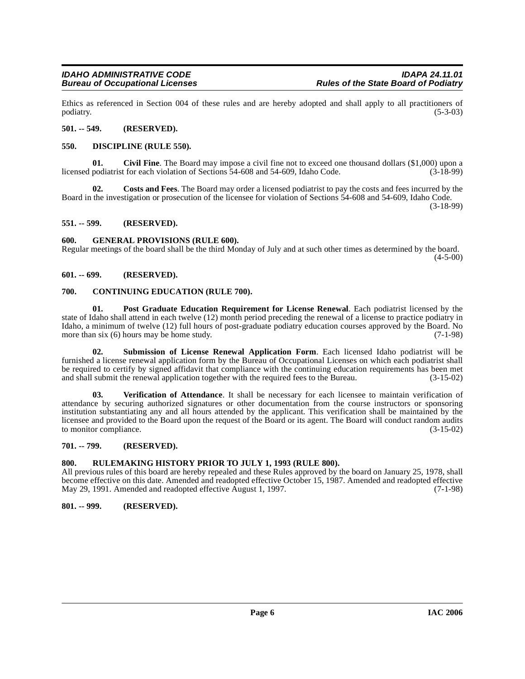Ethics as referenced in Section 004 of these rules and are hereby adopted and shall apply to all practitioners of podiatry. (5-3-03) podiatry. (5-3-03)

#### <span id="page-5-0"></span>**501. -- 549. (RESERVED).**

#### <span id="page-5-12"></span><span id="page-5-1"></span>**550. DISCIPLINE (RULE 550).**

<span id="page-5-9"></span>**Civil Fine**. The Board may impose a civil fine not to exceed one thousand dollars (\$1,000) upon a t for each violation of Sections 54-608 and 54-609. Idaho Code. (3-18-99) licensed podiatrist for each violation of Sections 54-608 and 54-609, Idaho Code.

<span id="page-5-11"></span>**02. Costs and Fees**. The Board may order a licensed podiatrist to pay the costs and fees incurred by the Board in the investigation or prosecution of the licensee for violation of Sections 54-608 and 54-609, Idaho Code. (3-18-99)

<span id="page-5-2"></span>**551. -- 599. (RESERVED).**

#### <span id="page-5-13"></span><span id="page-5-3"></span>**600. GENERAL PROVISIONS (RULE 600).**

Regular meetings of the board shall be the third Monday of July and at such other times as determined by the board.  $(4-5-00)$ 

### <span id="page-5-4"></span>**601. -- 699. (RESERVED).**

#### <span id="page-5-10"></span><span id="page-5-5"></span>**700. CONTINUING EDUCATION (RULE 700).**

<span id="page-5-14"></span>**01. Post Graduate Education Requirement for License Renewal**. Each podiatrist licensed by the state of Idaho shall attend in each twelve (12) month period preceding the renewal of a license to practice podiatry in Idaho, a minimum of twelve (12) full hours of post-graduate podiatry education courses approved by the Board. No more than six  $(6)$  hours may be home study. (7-1-98)

<span id="page-5-15"></span>**02. Submission of License Renewal Application Form**. Each licensed Idaho podiatrist will be furnished a license renewal application form by the Bureau of Occupational Licenses on which each podiatrist shall be required to certify by signed affidavit that compliance with the continuing education requirements has been met and shall submit the renewal application together with the required fees to the Bureau. (3-15-02)

<span id="page-5-16"></span>**03. Verification of Attendance**. It shall be necessary for each licensee to maintain verification of attendance by securing authorized signatures or other documentation from the course instructors or sponsoring institution substantiating any and all hours attended by the applicant. This verification shall be maintained by the licensee and provided to the Board upon the request of the Board or its agent. The Board will conduct random audits to monitor compliance. (3-15-02)

#### <span id="page-5-6"></span>**701. -- 799. (RESERVED).**

#### <span id="page-5-7"></span>**800. RULEMAKING HISTORY PRIOR TO JULY 1, 1993 (RULE 800).**

All previous rules of this board are hereby repealed and these Rules approved by the board on January 25, 1978, shall become effective on this date. Amended and readopted effective October 15, 1987. Amended and readopted effective May 29, 1991. Amended and readopted effective August 1, 1997.

#### <span id="page-5-8"></span>**801. -- 999. (RESERVED).**